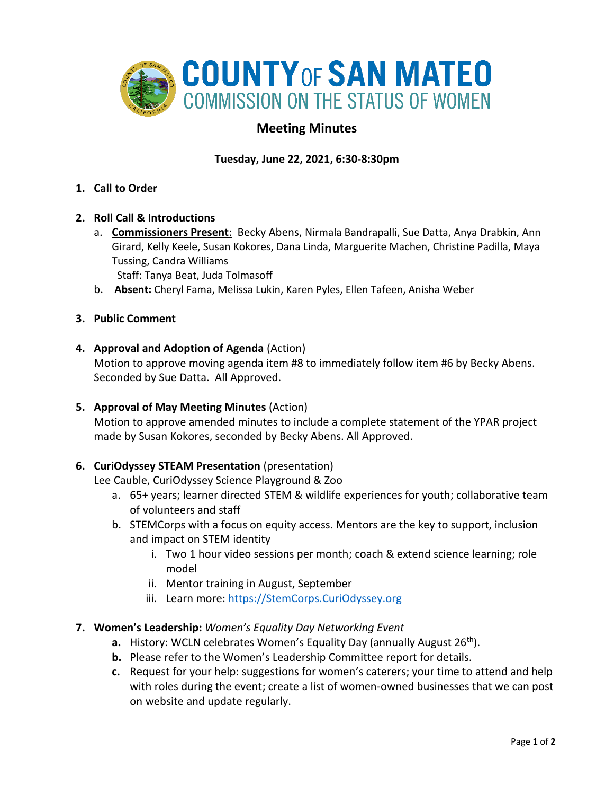

# **Meeting Minutes**

# **Tuesday, June 22, 2021, 6:30-8:30pm**

- **1. Call to Order**
- **2. Roll Call & Introductions** 
	- a. **Commissioners Present**: Becky Abens, Nirmala Bandrapalli, Sue Datta, Anya Drabkin, Ann Girard, Kelly Keele, Susan Kokores, Dana Linda, Marguerite Machen, Christine Padilla, Maya Tussing, Candra Williams

Staff: Tanya Beat, Juda Tolmasoff

- b. **Absent:** Cheryl Fama, Melissa Lukin, Karen Pyles, Ellen Tafeen, Anisha Weber
- **3. Public Comment**
- **4. Approval and Adoption of Agenda** (Action)

Motion to approve moving agenda item #8 to immediately follow item #6 by Becky Abens. Seconded by Sue Datta. All Approved.

**5. Approval of May Meeting Minutes** (Action)

Motion to approve amended minutes to include a complete statement of the YPAR project made by Susan Kokores, seconded by Becky Abens. All Approved.

## **6. CuriOdyssey STEAM Presentation** (presentation)

Lee Cauble, CuriOdyssey Science Playground & Zoo

- a. 65+ years; learner directed STEM & wildlife experiences for youth; collaborative team of volunteers and staff
- b. STEMCorps with a focus on equity access. Mentors are the key to support, inclusion and impact on STEM identity
	- i. Two 1 hour video sessions per month; coach & extend science learning; role model
	- ii. Mentor training in August, September
	- iii. Learn more: [https://StemCorps.CuriOdyssey.org](https://stemcorps.curiodyssey.org/)
- **7. Women's Leadership:** *Women's Equality Day Networking Event*
	- **a.** History: WCLN celebrates Women's Equality Day (annually August 26<sup>th</sup>).
	- **b.** Please refer to the Women's Leadership Committee report for details.
	- **c.** Request for your help: suggestions for women's caterers; your time to attend and help with roles during the event; create a list of women-owned businesses that we can post on website and update regularly.